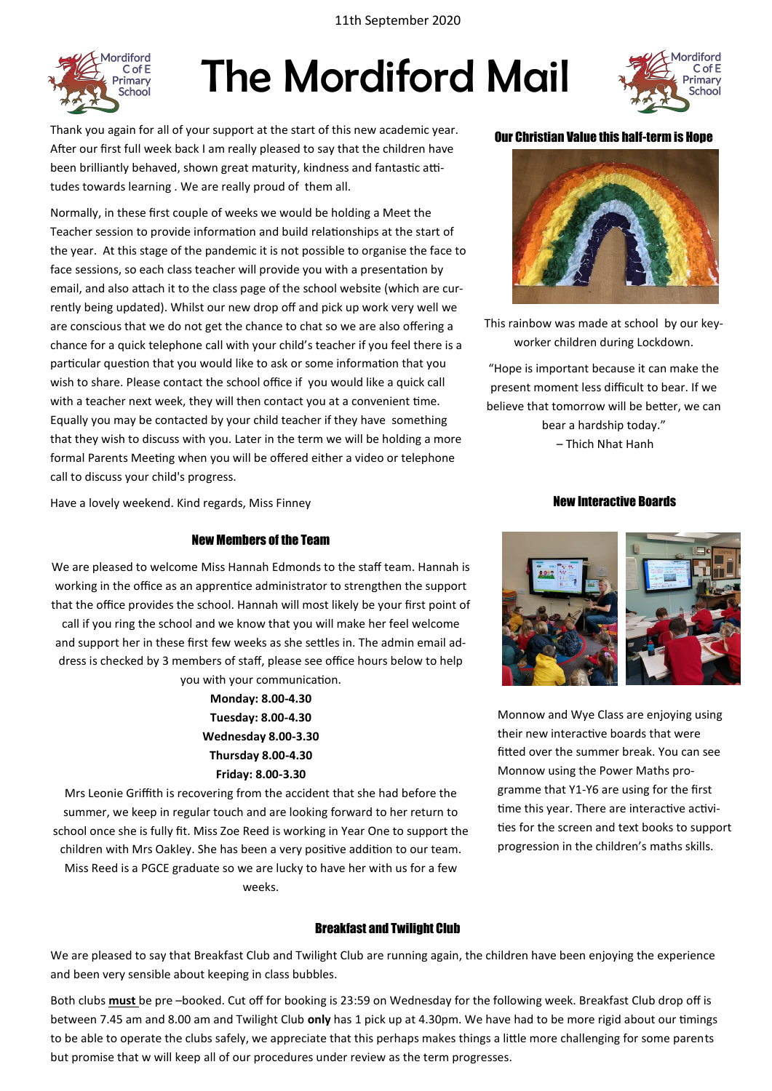11th September 2020



## The Mordiford Mail



Thank you again for all of your support at the start of this new academic year. After our first full week back I am really pleased to say that the children have been brilliantly behaved, shown great maturity, kindness and fantastic attitudes towards learning . We are really proud of them all.

Normally, in these first couple of weeks we would be holding a Meet the Teacher session to provide information and build relationships at the start of the year. At this stage of the pandemic it is not possible to organise the face to face sessions, so each class teacher will provide you with a presentation by email, and also attach it to the class page of the school website (which are currently being updated). Whilst our new drop off and pick up work very well we are conscious that we do not get the chance to chat so we are also offering a chance for a quick telephone call with your child's teacher if you feel there is a particular question that you would like to ask or some information that you wish to share. Please contact the school office if you would like a quick call with a teacher next week, they will then contact you at a convenient time. Equally you may be contacted by your child teacher if they have something that they wish to discuss with you. Later in the term we will be holding a more formal Parents Meeting when you will be offered either a video or telephone call to discuss your child's progress.

#### Our Christian Value this half-term is Hope



This rainbow was made at school by our keyworker children during Lockdown.

"Hope is important because it can make the present moment less difficult to bear. If we believe that tomorrow will be better, we can

> bear a hardship today." – Thich Nhat Hanh

New Interactive Boards

#### Have a lovely weekend. Kind regards, Miss Finney

#### New Members of the Team

We are pleased to welcome Miss Hannah Edmonds to the staff team. Hannah is working in the office as an apprentice administrator to strengthen the support that the office provides the school. Hannah will most likely be your first point of call if you ring the school and we know that you will make her feel welcome and support her in these first few weeks as she settles in. The admin email address is checked by 3 members of staff, please see office hours below to help you with your communication.

> **Monday: 8.00-4.30 Tuesday: 8.00-4.30 Wednesday 8.00-3.30 Thursday 8.00-4.30 Friday: 8.00-3.30**

Mrs Leonie Griffith is recovering from the accident that she had before the summer, we keep in regular touch and are looking forward to her return to school once she is fully fit. Miss Zoe Reed is working in Year One to support the children with Mrs Oakley. She has been a very positive addition to our team. Miss Reed is a PGCE graduate so we are lucky to have her with us for a few weeks.

#### Breakfast and Twilight Club

We are pleased to say that Breakfast Club and Twilight Club are running again, the children have been enjoying the experience and been very sensible about keeping in class bubbles.

Both clubs **must** be pre –booked. Cut off for booking is 23:59 on Wednesday for the following week. Breakfast Club drop off is between 7.45 am and 8.00 am and Twilight Club **only** has 1 pick up at 4.30pm. We have had to be more rigid about our timings to be able to operate the clubs safely, we appreciate that this perhaps makes things a little more challenging for some parents but promise that w will keep all of our procedures under review as the term progresses.

Monnow and Wye Class are enjoying using their new interactive boards that were fitted over the summer break. You can see Monnow using the Power Maths programme that Y1-Y6 are using for the first time this year. There are interactive activities for the screen and text books to support progression in the children's maths skills.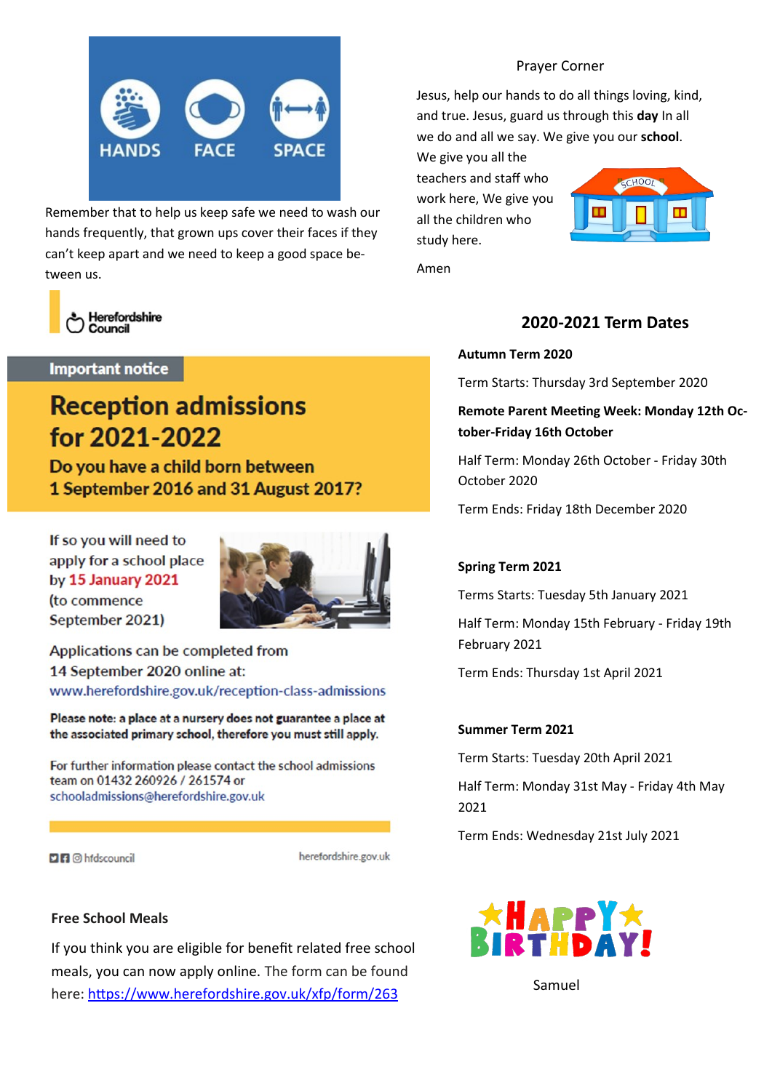

Remember that to help us keep safe we need to wash our hands frequently, that grown ups cover their faces if they can't keep apart and we need to keep a good space between us.



#### **Important notice**

### **Reception admissions** for 2021-2022

Do you have a child born between 1 September 2016 and 31 August 2017?

If so you will need to apply for a school place by 15 January 2021 (to commence September 2021)



Applications can be completed from 14 September 2020 online at: www.herefordshire.gov.uk/reception-class-admissions

Please note: a place at a nursery does not guarantee a place at the associated primary school, therefore you must still apply.

For further information please contact the school admissions team on 01432 260926 / 261574 or schooladmissions@herefordshire.gov.uk

**DR** @ hfdscouncil

herefordshire.gov.uk

#### **Free School Meals**

If you think you are eligible for benefit related free school meals, you can now apply online. The form can be found here: <https://www.herefordshire.gov.uk/xfp/form/263>

#### Prayer Corner

Jesus, help our hands to do all things loving, kind, and true. Jesus, guard us through this **day** In all we do and all we say. We give you our **school**.

We give you all the teachers and staff who work here, We give you all the children who study here.



Amen

### **2020-2021 Term Dates**

#### **Autumn Term 2020**

Term Starts: Thursday 3rd September 2020

**Remote Parent Meeting Week: Monday 12th October-Friday 16th October**

Half Term: Monday 26th October - Friday 30th October 2020

Term Ends: Friday 18th December 2020

#### **Spring Term 2021**

Terms Starts: Tuesday 5th January 2021

Half Term: Monday 15th February - Friday 19th February 2021

Term Ends: Thursday 1st April 2021

#### **Summer Term 2021**

Term Starts: Tuesday 20th April 2021

Half Term: Monday 31st May - Friday 4th May 2021

Term Ends: Wednesday 21st July 2021



Samuel